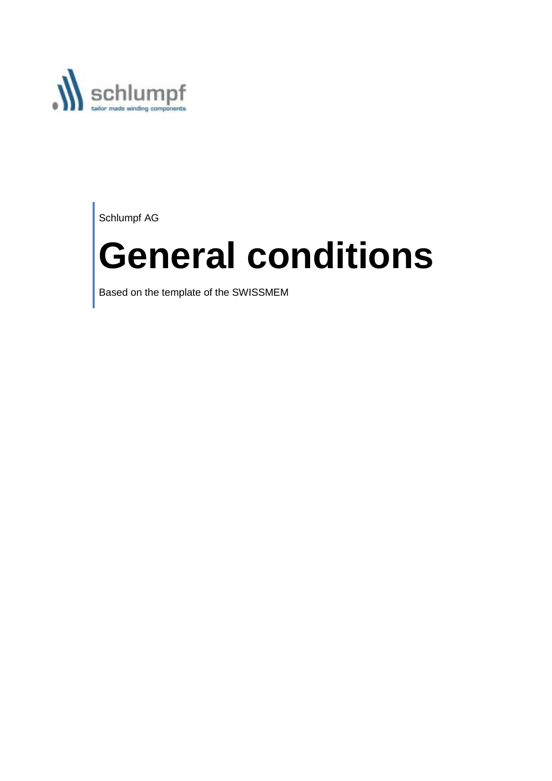

Schlumpf AG

# **General conditions**

Based on the template of the SWISSMEM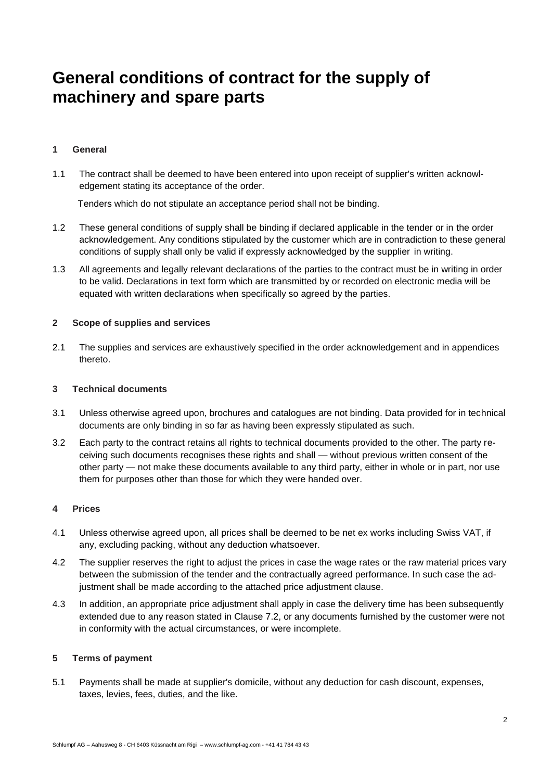# **General conditions of contract for the supply of machinery and spare parts**

# **1 General**

1.1 The contract shall be deemed to have been entered into upon receipt of supplier's written acknowledgement stating its acceptance of the order.

Tenders which do not stipulate an acceptance period shall not be binding.

- 1.2 These general conditions of supply shall be binding if declared applicable in the tender or in the order acknowledgement. Any conditions stipulated by the customer which are in contradiction to these general conditions of supply shall only be valid if expressly acknowledged by the supplier in writing.
- 1.3 All agreements and legally relevant declarations of the parties to the contract must be in writing in order to be valid. Declarations in text form which are transmitted by or recorded on electronic media will be equated with written declarations when specifically so agreed by the parties.

### **2 Scope of supplies and services**

2.1 The supplies and services are exhaustively specified in the order acknowledgement and in appendices thereto.

#### **3 Technical documents**

- 3.1 Unless otherwise agreed upon, brochures and catalogues are not binding. Data provided for in technical documents are only binding in so far as having been expressly stipulated as such.
- 3.2 Each party to the contract retains all rights to technical documents provided to the other. The party receiving such documents recognises these rights and shall — without previous written consent of the other party — not make these documents available to any third party, either in whole or in part, nor use them for purposes other than those for which they were handed over.

### **4 Prices**

- 4.1 Unless otherwise agreed upon, all prices shall be deemed to be net ex works including Swiss VAT, if any, excluding packing, without any deduction whatsoever.
- 4.2 The supplier reserves the right to adjust the prices in case the wage rates or the raw material prices vary between the submission of the tender and the contractually agreed performance. In such case the adjustment shall be made according to the attached price adjustment clause.
- 4.3 In addition, an appropriate price adjustment shall apply in case the delivery time has been subsequently extended due to any reason stated in Clause 7.2, or any documents furnished by the customer were not in conformity with the actual circumstances, or were incomplete.

### **5 Terms of payment**

5.1 Payments shall be made at supplier's domicile, without any deduction for cash discount, expenses, taxes, levies, fees, duties, and the like.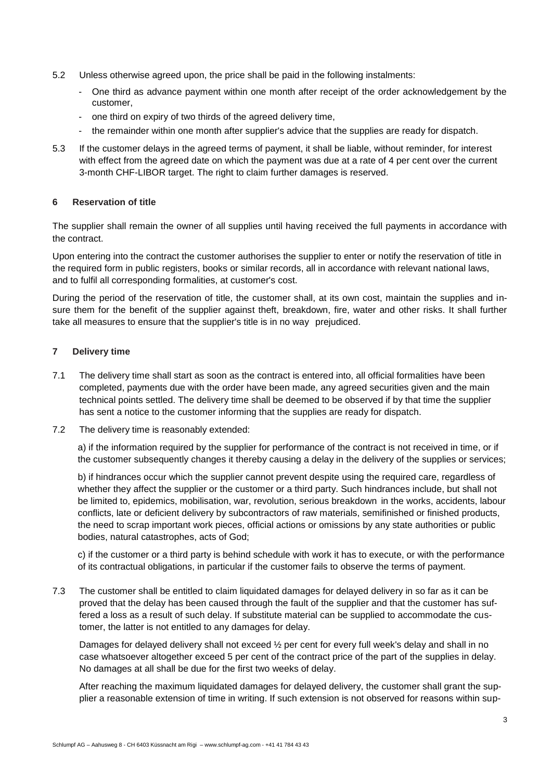- 5.2 Unless otherwise agreed upon, the price shall be paid in the following instalments:
	- One third as advance payment within one month after receipt of the order acknowledgement by the customer,
	- one third on expiry of two thirds of the agreed delivery time,
	- the remainder within one month after supplier's advice that the supplies are ready for dispatch.
- 5.3 If the customer delays in the agreed terms of payment, it shall be liable, without reminder, for interest with effect from the agreed date on which the payment was due at a rate of 4 per cent over the current 3-month CHF-LIBOR target. The right to claim further damages is reserved.

# **6 Reservation of title**

The supplier shall remain the owner of all supplies until having received the full payments in accordance with the contract.

Upon entering into the contract the customer authorises the supplier to enter or notify the reservation of title in the required form in public registers, books or similar records, all in accordance with relevant national laws, and to fulfil all corresponding formalities, at customer's cost.

During the period of the reservation of title, the customer shall, at its own cost, maintain the supplies and insure them for the benefit of the supplier against theft, breakdown, fire, water and other risks. It shall further take all measures to ensure that the supplier's title is in no way prejudiced.

# **7 Delivery time**

- 7.1 The delivery time shall start as soon as the contract is entered into, all official formalities have been completed, payments due with the order have been made, any agreed securities given and the main technical points settled. The delivery time shall be deemed to be observed if by that time the supplier has sent a notice to the customer informing that the supplies are ready for dispatch.
- 7.2 The delivery time is reasonably extended:

a) if the information required by the supplier for performance of the contract is not received in time, or if the customer subsequently changes it thereby causing a delay in the delivery of the supplies or services;

b) if hindrances occur which the supplier cannot prevent despite using the required care, regardless of whether they affect the supplier or the customer or a third party. Such hindrances include, but shall not be limited to, epidemics, mobilisation, war, revolution, serious breakdown in the works, accidents, labour conflicts, late or deficient delivery by subcontractors of raw materials, semifinished or finished products, the need to scrap important work pieces, official actions or omissions by any state authorities or public bodies, natural catastrophes, acts of God;

c) if the customer or a third party is behind schedule with work it has to execute, or with the performance of its contractual obligations, in particular if the customer fails to observe the terms of payment.

7.3 The customer shall be entitled to claim liquidated damages for delayed delivery in so far as it can be proved that the delay has been caused through the fault of the supplier and that the customer has suffered a loss as a result of such delay. If substitute material can be supplied to accommodate the customer, the latter is not entitled to any damages for delay.

Damages for delayed delivery shall not exceed  $\frac{1}{2}$  per cent for every full week's delay and shall in no case whatsoever altogether exceed 5 per cent of the contract price of the part of the supplies in delay. No damages at all shall be due for the first two weeks of delay.

After reaching the maximum liquidated damages for delayed delivery, the customer shall grant the supplier a reasonable extension of time in writing. If such extension is not observed for reasons within sup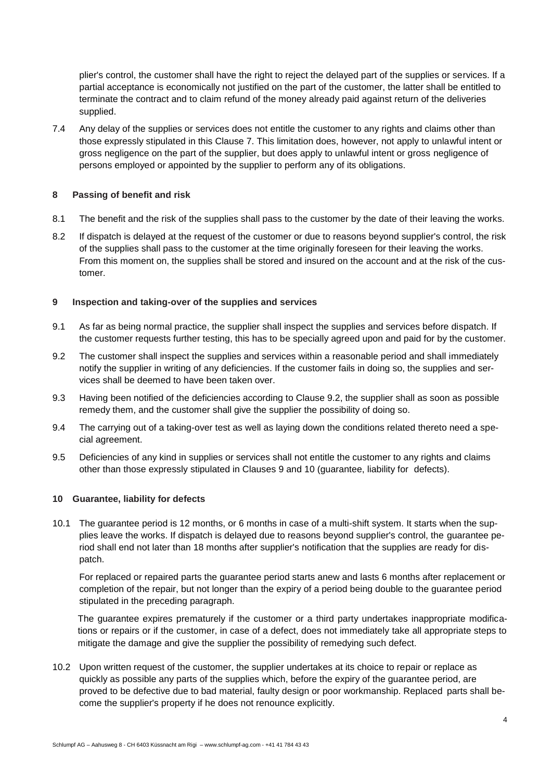plier's control, the customer shall have the right to reject the delayed part of the supplies or services. If a partial acceptance is economically not justified on the part of the customer, the latter shall be entitled to terminate the contract and to claim refund of the money already paid against return of the deliveries supplied.

7.4 Any delay of the supplies or services does not entitle the customer to any rights and claims other than those expressly stipulated in this Clause 7. This limitation does, however, not apply to unlawful intent or gross negligence on the part of the supplier, but does apply to unlawful intent or gross negligence of persons employed or appointed by the supplier to perform any of its obligations.

# **8 Passing of benefit and risk**

- 8.1 The benefit and the risk of the supplies shall pass to the customer by the date of their leaving the works.
- 8.2 If dispatch is delayed at the request of the customer or due to reasons beyond supplier's control, the risk of the supplies shall pass to the customer at the time originally foreseen for their leaving the works. From this moment on, the supplies shall be stored and insured on the account and at the risk of the customer.

# **9 Inspection and taking-over of the supplies and services**

- 9.1 As far as being normal practice, the supplier shall inspect the supplies and services before dispatch. If the customer requests further testing, this has to be specially agreed upon and paid for by the customer.
- 9.2 The customer shall inspect the supplies and services within a reasonable period and shall immediately notify the supplier in writing of any deficiencies. If the customer fails in doing so, the supplies and services shall be deemed to have been taken over.
- 9.3 Having been notified of the deficiencies according to Clause 9.2, the supplier shall as soon as possible remedy them, and the customer shall give the supplier the possibility of doing so.
- 9.4 The carrying out of a taking-over test as well as laying down the conditions related thereto need a special agreement.
- 9.5 Deficiencies of any kind in supplies or services shall not entitle the customer to any rights and claims other than those expressly stipulated in Clauses 9 and 10 (guarantee, liability for defects).

### **10 Guarantee, liability for defects**

10.1 The guarantee period is 12 months, or 6 months in case of a multi-shift system. It starts when the supplies leave the works. If dispatch is delayed due to reasons beyond supplier's control, the guarantee period shall end not later than 18 months after supplier's notification that the supplies are ready for dispatch.

For replaced or repaired parts the guarantee period starts anew and lasts 6 months after replacement or completion of the repair, but not longer than the expiry of a period being double to the guarantee period stipulated in the preceding paragraph.

The guarantee expires prematurely if the customer or a third party undertakes inappropriate modifications or repairs or if the customer, in case of a defect, does not immediately take all appropriate steps to mitigate the damage and give the supplier the possibility of remedying such defect.

10.2 Upon written request of the customer, the supplier undertakes at its choice to repair or replace as quickly as possible any parts of the supplies which, before the expiry of the guarantee period, are proved to be defective due to bad material, faulty design or poor workmanship. Replaced parts shall become the supplier's property if he does not renounce explicitly.